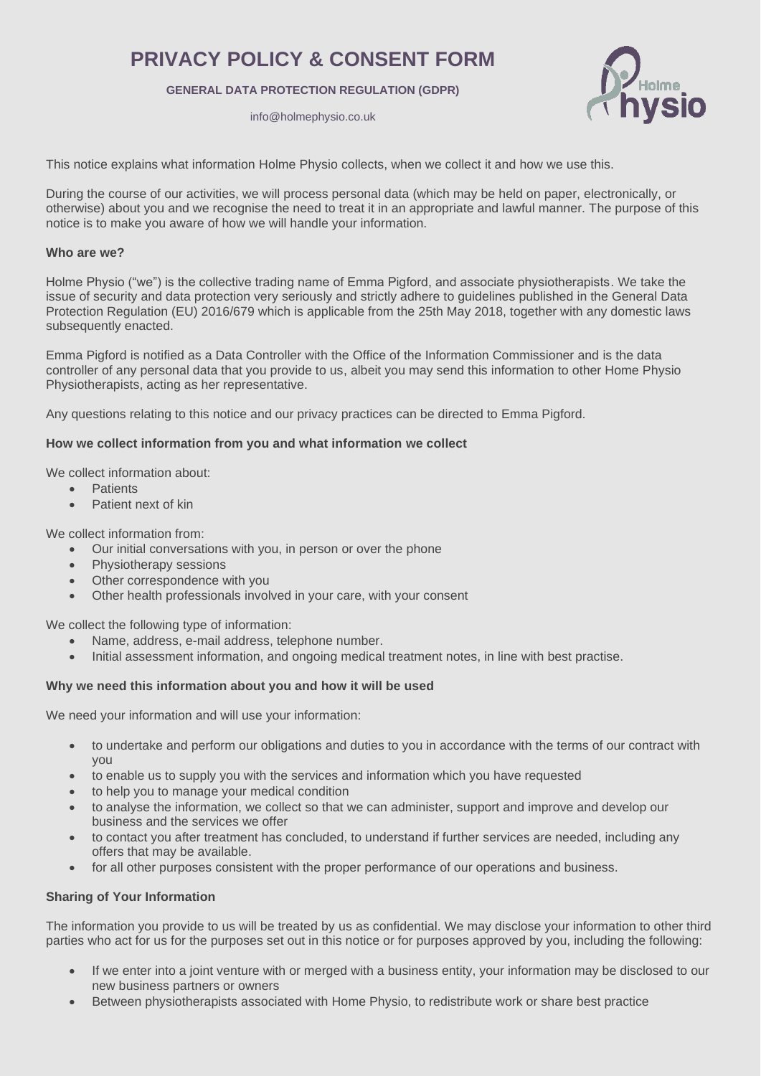# **PRIVACY POLICY & CONSENT FORM**

## **GENERAL DATA PROTECTION REGULATION (GDPR)**

info@holmephysio.co.uk



This notice explains what information Holme Physio collects, when we collect it and how we use this.

During the course of our activities, we will process personal data (which may be held on paper, electronically, or otherwise) about you and we recognise the need to treat it in an appropriate and lawful manner. The purpose of this notice is to make you aware of how we will handle your information.

#### **Who are we?**

Holme Physio ("we") is the collective trading name of Emma Pigford, and associate physiotherapists. We take the issue of security and data protection very seriously and strictly adhere to guidelines published in the General Data Protection Regulation (EU) 2016/679 which is applicable from the 25th May 2018, together with any domestic laws subsequently enacted.

Emma Pigford is notified as a Data Controller with the Office of the Information Commissioner and is the data controller of any personal data that you provide to us, albeit you may send this information to other Home Physio Physiotherapists, acting as her representative.

Any questions relating to this notice and our privacy practices can be directed to Emma Pigford.

### **How we collect information from you and what information we collect**

We collect information about:

- **Patients**
- Patient next of kin

We collect information from:

- Our initial conversations with you, in person or over the phone
- Physiotherapy sessions
- Other correspondence with you
- Other health professionals involved in your care, with your consent

We collect the following type of information:

- Name, address, e-mail address, telephone number.
- Initial assessment information, and ongoing medical treatment notes, in line with best practise.

### **Why we need this information about you and how it will be used**

We need your information and will use your information:

- to undertake and perform our obligations and duties to you in accordance with the terms of our contract with you
- to enable us to supply you with the services and information which you have requested
- to help you to manage your medical condition
- to analyse the information, we collect so that we can administer, support and improve and develop our business and the services we offer
- to contact you after treatment has concluded, to understand if further services are needed, including any offers that may be available.
- for all other purposes consistent with the proper performance of our operations and business.

### **Sharing of Your Information**

The information you provide to us will be treated by us as confidential. We may disclose your information to other third parties who act for us for the purposes set out in this notice or for purposes approved by you, including the following:

- If we enter into a joint venture with or merged with a business entity, your information may be disclosed to our new business partners or owners
- Between physiotherapists associated with Home Physio, to redistribute work or share best practice